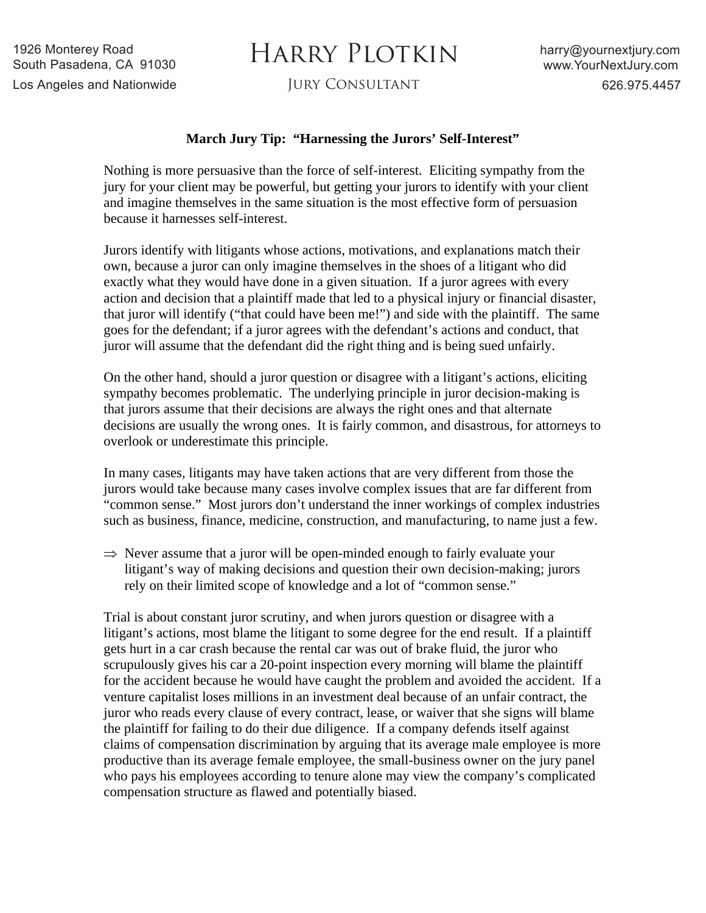## HARRY PLOTKIN

## **March Jury Tip: "Harnessing the Jurors' Self-Interest"**

Nothing is more persuasive than the force of self-interest. Eliciting sympathy from the jury for your client may be powerful, but getting your jurors to identify with your client and imagine themselves in the same situation is the most effective form of persuasion because it harnesses self-interest.

Jurors identify with litigants whose actions, motivations, and explanations match their own, because a juror can only imagine themselves in the shoes of a litigant who did exactly what they would have done in a given situation. If a juror agrees with every action and decision that a plaintiff made that led to a physical injury or financial disaster, that juror will identify ("that could have been me!") and side with the plaintiff. The same goes for the defendant; if a juror agrees with the defendant's actions and conduct, that juror will assume that the defendant did the right thing and is being sued unfairly.

On the other hand, should a juror question or disagree with a litigant's actions, eliciting sympathy becomes problematic. The underlying principle in juror decision-making is that jurors assume that their decisions are always the right ones and that alternate decisions are usually the wrong ones. It is fairly common, and disastrous, for attorneys to overlook or underestimate this principle.

In many cases, litigants may have taken actions that are very different from those the jurors would take because many cases involve complex issues that are far different from "common sense." Most jurors don't understand the inner workings of complex industries such as business, finance, medicine, construction, and manufacturing, to name just a few.

 $\Rightarrow$  Never assume that a juror will be open-minded enough to fairly evaluate your litigant's way of making decisions and question their own decision-making; jurors rely on their limited scope of knowledge and a lot of "common sense."

Trial is about constant juror scrutiny, and when jurors question or disagree with a litigant's actions, most blame the litigant to some degree for the end result. If a plaintiff gets hurt in a car crash because the rental car was out of brake fluid, the juror who scrupulously gives his car a 20-point inspection every morning will blame the plaintiff for the accident because he would have caught the problem and avoided the accident. If a venture capitalist loses millions in an investment deal because of an unfair contract, the juror who reads every clause of every contract, lease, or waiver that she signs will blame the plaintiff for failing to do their due diligence. If a company defends itself against claims of compensation discrimination by arguing that its average male employee is more productive than its average female employee, the small-business owner on the jury panel who pays his employees according to tenure alone may view the company's complicated compensation structure as flawed and potentially biased.